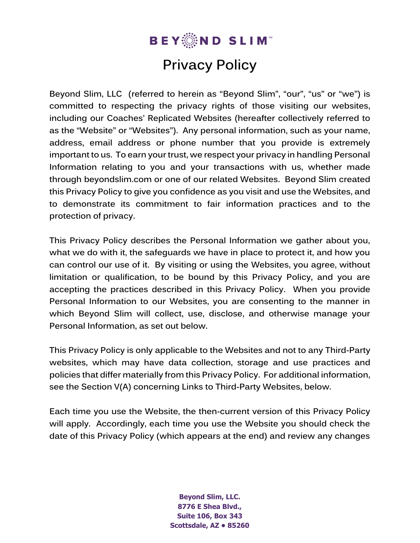

# **Privacy Policy**

**Beyond Slim, LLC (referred to herein as "Beyond Slim", "our", "us" or "we") is committed to respecting the privacy rights of those visiting our websites, including our Coaches' Replicated Websites (hereafter collectively referred to as the "Website" or "Websites"). Any personal information, such as your name, address, email address or phone number that you provide is extremely important to us. To earn your trust, we respect your privacy in handling Personal Information relating to you and your transactions with us, whether made through beyondslim.com or one of our related Websites. Beyond Slim created this Privacy Policy to give you confidence as you visit and use the Websites, and to demonstrate its commitment to fair information practices and to the protection of privacy.**

**This Privacy Policy describes the Personal Information we gather about you, what we do with it, the safeguards we have in place to protect it, and how you can control our use of it. By visiting or using the Websites, you agree, without limitation or qualification, to be bound by this Privacy Policy, and you are accepting the practices described in this Privacy Policy. When you provide Personal Information to our Websites, you are consenting to the manner in which Beyond Slim will collect, use, disclose, and otherwise manage your Personal Information, as set out below.**

**This Privacy Policy is only applicable to the Websites and not to any Third-Party websites, which may have data collection, storage and use practices and policies that differ materially from this Privacy Policy. For additional information, see the Section V(A) concerning Links to Third-Party Websites, below.**

**Each time you use the Website, the then-current version of this Privacy Policy will apply. Accordingly, each time you use the Website you should check the date of this Privacy Policy (which appears at the end) and review any changes** 

> **Beyond Slim, LLC. 8776 E Shea Blvd., Suite 106, Box 343 Scottsdale, AZ • 85260**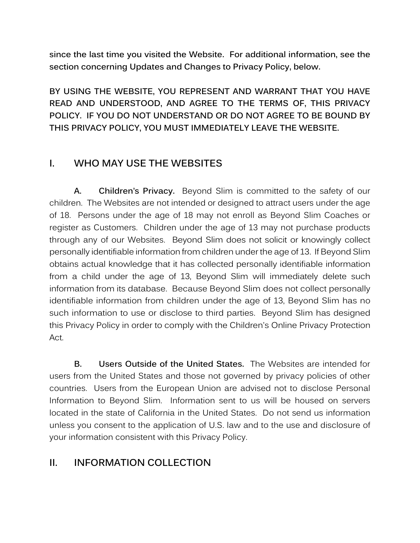**since the last time you visited the Website. For additional information, see the section concerning Updates and Changes to Privacy Policy, below.**

**BY USING THE WEBSITE, YOU REPRESENT AND WARRANT THAT YOU HAVE READ AND UNDERSTOOD, AND AGREE TO THE TERMS OF, THIS PRIVACY POLICY. IF YOU DO NOT UNDERSTAND OR DO NOT AGREE TO BE BOUND BY THIS PRIVACY POLICY, YOU MUST IMMEDIATELY LEAVE THE WEBSITE.**

## **I. WHO MAY USE THE WEBSITES**

**A. Children's Privacy.** Beyond Slim is committed to the safety of our children. The Websites are not intended or designed to attract users under the age of 18. Persons under the age of 18 may not enroll as Beyond Slim Coaches or register as Customers. Children under the age of 13 may not purchase products through any of our Websites. Beyond Slim does not solicit or knowingly collect personally identifiable information from children under the age of 13. If Beyond Slim obtains actual knowledge that it has collected personally identifiable information from a child under the age of 13, Beyond Slim will immediately delete such information from its database. Because Beyond Slim does not collect personally identifiable information from children under the age of 13, Beyond Slim has no such information to use or disclose to third parties. Beyond Slim has designed this Privacy Policy in order to comply with the Children's Online Privacy Protection Act.

**B. Users Outside of the United States.** The Websites are intended for users from the United States and those not governed by privacy policies of other countries. Users from the European Union are advised not to disclose Personal Information to Beyond Slim. Information sent to us will be housed on servers located in the state of California in the United States. Do not send us information unless you consent to the application of U.S. law and to the use and disclosure of your information consistent with this Privacy Policy.

## **II. INFORMATION COLLECTION**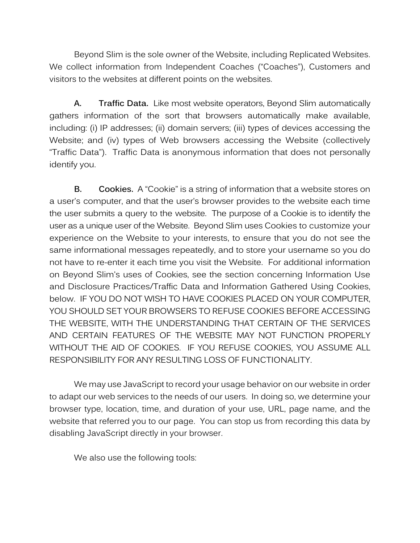Beyond Slim is the sole owner of the Website, including Replicated Websites. We collect information from Independent Coaches ("Coaches"), Customers and visitors to the websites at different points on the websites.

**A. Traffic Data.** Like most website operators, Beyond Slim automatically gathers information of the sort that browsers automatically make available, including: (i) IP addresses; (ii) domain servers; (iii) types of devices accessing the Website; and (iv) types of Web browsers accessing the Website (collectively "Traffic Data"). Traffic Data is anonymous information that does not personally identify you.

**B. Cookies.** A "Cookie" is a string of information that a website stores on a user's computer, and that the user's browser provides to the website each time the user submits a query to the website. The purpose of a Cookie is to identify the user as a unique user of the Website. Beyond Slim uses Cookies to customize your experience on the Website to your interests, to ensure that you do not see the same informational messages repeatedly, and to store your username so you do not have to re-enter it each time you visit the Website. For additional information on Beyond Slim's uses of Cookies, see the section concerning Information Use and Disclosure Practices/Traffic Data and Information Gathered Using Cookies, below. IF YOU DO NOT WISH TO HAVE COOKIES PLACED ON YOUR COMPUTER, YOU SHOULD SET YOUR BROWSERS TO REFUSE COOKIES BEFORE ACCESSING THE WEBSITE, WITH THE UNDERSTANDING THAT CERTAIN OF THE SERVICES AND CERTAIN FEATURES OF THE WEBSITE MAY NOT FUNCTION PROPERLY WITHOUT THE AID OF COOKIES. IF YOU REFUSE COOKIES, YOU ASSUME ALL RESPONSIBILITY FOR ANY RESULTING LOSS OF FUNCTIONALITY.

We may use JavaScript to record your usage behavior on our website in order to adapt our web services to the needs of our users. In doing so, we determine your browser type, location, time, and duration of your use, URL, page name, and the website that referred you to our page. You can stop us from recording this data by disabling JavaScript directly in your browser.

We also use the following tools: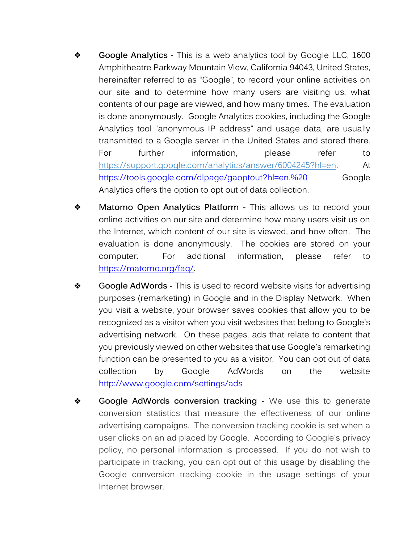- ❖ **Google Analytics -** This is a web analytics tool by Google LLC, 1600 Amphitheatre Parkway Mountain View, California 94043, United States, hereinafter referred to as "Google", to record your online activities on our site and to determine how many users are visiting us, what contents of our page are viewed, and how many times. The evaluation is done anonymously. Google Analytics cookies, including the Google Analytics tool "anonymous IP address" and usage data, are usually transmitted to a Google server in the United States and stored there. For further information, please refer to [https://support.google.com/analytics/answer/6004245?hl=en.](https://support.google.com/analytics/answer/6004245?hl=en) At [https://tools.google.com/dlpage/gaoptout?hl=en.%20](https://tools.google.com/dlpage/gaoptout?hl=de.%20) Google Analytics offers the option to opt out of data collection.
- ❖ **Matomo Open Analytics Platform -** This allows us to record your online activities on our site and determine how many users visit us on the Internet, which content of our site is viewed, and how often. The evaluation is done anonymously. The cookies are stored on your computer. For additional information, please refer to [https://matomo.org/faq/.](https://matomo.org/faq/)
- ❖ **Google AdWords** This is used to record website visits for advertising purposes (remarketing) in Google and in the Display Network. When you visit a website, your browser saves cookies that allow you to be recognized as a visitor when you visit websites that belong to Google's advertising network. On these pages, ads that relate to content that you previously viewed on other websites that use Google's remarketing function can be presented to you as a visitor. You can opt out of data collection by Google AdWords on the website <http://www.google.com/settings/ads>
- ❖ **Google AdWords conversion tracking** We use this to generate conversion statistics that measure the effectiveness of our online advertising campaigns. The conversion tracking cookie is set when a user clicks on an ad placed by Google. According to Google's privacy policy, no personal information is processed. If you do not wish to participate in tracking, you can opt out of this usage by disabling the Google conversion tracking cookie in the usage settings of your Internet browser.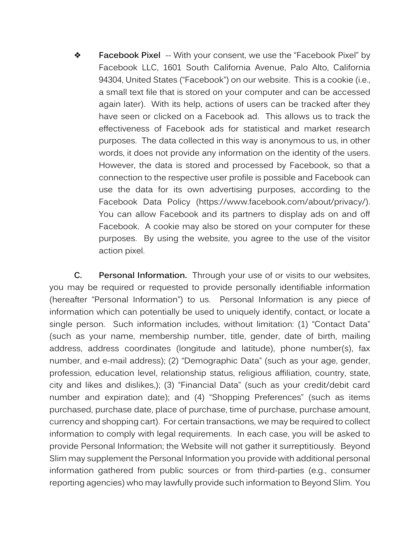❖ **Facebook Pixel** -- With your consent, we use the "Facebook Pixel" by Facebook LLC, 1601 South California Avenue, Palo Alto, California 94304, United States ("Facebook") on our website. This is a cookie (i.e., a small text file that is stored on your computer and can be accessed again later). With its help, actions of users can be tracked after they have seen or clicked on a Facebook ad. This allows us to track the effectiveness of Facebook ads for statistical and market research purposes. The data collected in this way is anonymous to us, in other words, it does not provide any information on the identity of the users. However, the data is stored and processed by Facebook, so that a connection to the respective user profile is possible and Facebook can use the data for its own advertising purposes, according to the Facebook Data Policy (https://www.facebook.com/about/privacy/). You can allow Facebook and its partners to display ads on and off Facebook. A cookie may also be stored on your computer for these purposes. By using the website, you agree to the use of the visitor action pixel.

**C. Personal Information.** Through your use of or visits to our websites, you may be required or requested to provide personally identifiable information (hereafter "Personal Information") to us. Personal Information is any piece of information which can potentially be used to uniquely identify, contact, or locate a single person. Such information includes, without limitation: (1) "Contact Data" (such as your name, membership number, title, gender, date of birth, mailing address, address coordinates (longitude and latitude), phone number(s), fax number, and e-mail address); (2) "Demographic Data" (such as your age, gender, profession, education level, relationship status, religious affiliation, country, state, city and likes and dislikes,); (3) "Financial Data" (such as your credit/debit card number and expiration date); and (4) "Shopping Preferences" (such as items purchased, purchase date, place of purchase, time of purchase, purchase amount, currency and shopping cart). For certain transactions, we may be required to collect information to comply with legal requirements. In each case, you will be asked to provide Personal Information; the Website will not gather it surreptitiously. Beyond Slim may supplement the Personal Information you provide with additional personal information gathered from public sources or from third-parties (e.g., consumer reporting agencies) who may lawfully provide such information to Beyond Slim. You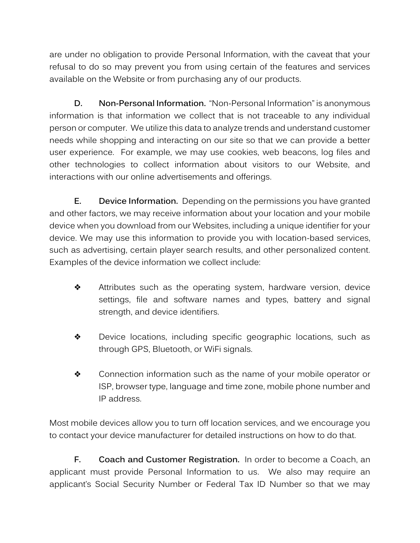are under no obligation to provide Personal Information, with the caveat that your refusal to do so may prevent you from using certain of the features and services available on the Website or from purchasing any of our products.

**D. Non-Personal Information.** "Non-Personal Information" is anonymous information is that information we collect that is not traceable to any individual person or computer. We utilize this data to analyze trends and understand customer needs while shopping and interacting on our site so that we can provide a better user experience. For example, we may use cookies, web beacons, log files and other technologies to collect information about visitors to our Website, and interactions with our online advertisements and offerings.

**E. Device Information.** Depending on the permissions you have granted and other factors, we may receive information about your location and your mobile device when you download from our Websites, including a unique identifier for your device. We may use this information to provide you with location-based services, such as advertising, certain player search results, and other personalized content. Examples of the device information we collect include:

- ❖ Attributes such as the operating system, hardware version, device settings, file and software names and types, battery and signal strength, and device identifiers.
- ❖ Device locations, including specific geographic locations, such as through GPS, Bluetooth, or WiFi signals.
- ❖ Connection information such as the name of your mobile operator or ISP, browser type, language and time zone, mobile phone number and IP address.

Most mobile devices allow you to turn off location services, and we encourage you to contact your device manufacturer for detailed instructions on how to do that.

**F. Coach and Customer Registration.** In order to become a Coach, an applicant must provide Personal Information to us. We also may require an applicant's Social Security Number or Federal Tax ID Number so that we may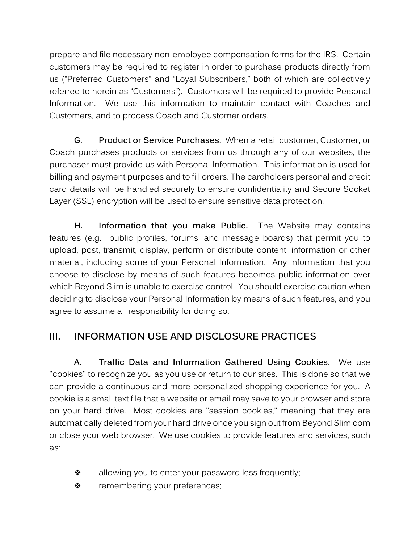prepare and file necessary non-employee compensation forms for the IRS. Certain customers may be required to register in order to purchase products directly from us ("Preferred Customers" and "Loyal Subscribers," both of which are collectively referred to herein as "Customers"). Customers will be required to provide Personal Information. We use this information to maintain contact with Coaches and Customers, and to process Coach and Customer orders.

**G. Product or Service Purchases.** When a retail customer, Customer, or Coach purchases products or services from us through any of our websites, the purchaser must provide us with Personal Information. This information is used for billing and payment purposes and to fill orders. The cardholders personal and credit card details will be handled securely to ensure confidentiality and Secure Socket Layer (SSL) encryption will be used to ensure sensitive data protection.

**H. Information that you make Public.** The Website may contains features (e.g. public profiles, forums, and message boards) that permit you to upload, post, transmit, display, perform or distribute content, information or other material, including some of your Personal Information. Any information that you choose to disclose by means of such features becomes public information over which Beyond Slim is unable to exercise control. You should exercise caution when deciding to disclose your Personal Information by means of such features, and you agree to assume all responsibility for doing so.

## **III. INFORMATION USE AND DISCLOSURE PRACTICES**

**A. Traffic Data and Information Gathered Using Cookies.** We use "cookies" to recognize you as you use or return to our sites. This is done so that we can provide a continuous and more personalized shopping experience for you. A cookie is a small text file that a website or email may save to your browser and store on your hard drive. Most cookies are "session cookies," meaning that they are automatically deleted from your hard drive once you sign out from Beyond Slim.com or close your web browser. We use cookies to provide features and services, such as:

- ❖ allowing you to enter your password less frequently;
- ❖ remembering your preferences;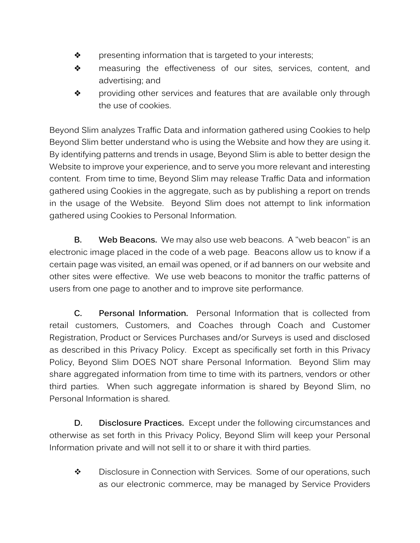- ❖ presenting information that is targeted to your interests;
- ❖ measuring the effectiveness of our sites, services, content, and advertising; and
- ❖ providing other services and features that are available only through the use of cookies.

Beyond Slim analyzes Traffic Data and information gathered using Cookies to help Beyond Slim better understand who is using the Website and how they are using it. By identifying patterns and trends in usage, Beyond Slim is able to better design the Website to improve your experience, and to serve you more relevant and interesting content. From time to time, Beyond Slim may release Traffic Data and information gathered using Cookies in the aggregate, such as by publishing a report on trends in the usage of the Website. Beyond Slim does not attempt to link information gathered using Cookies to Personal Information.

**B. Web Beacons.** We may also use web beacons. A "web beacon" is an electronic image placed in the code of a web page. Beacons allow us to know if a certain page was visited, an email was opened, or if ad banners on our website and other sites were effective. We use web beacons to monitor the traffic patterns of users from one page to another and to improve site performance.

**C. Personal Information.** Personal Information that is collected from retail customers, Customers, and Coaches through Coach and Customer Registration, Product or Services Purchases and/or Surveys is used and disclosed as described in this Privacy Policy. Except as specifically set forth in this Privacy Policy, Beyond Slim DOES NOT share Personal Information. Beyond Slim may share aggregated information from time to time with its partners, vendors or other third parties. When such aggregate information is shared by Beyond Slim, no Personal Information is shared.

**D. Disclosure Practices.** Except under the following circumstances and otherwise as set forth in this Privacy Policy, Beyond Slim will keep your Personal Information private and will not sell it to or share it with third parties.

❖ Disclosure in Connection with Services. Some of our operations, such as our electronic commerce, may be managed by Service Providers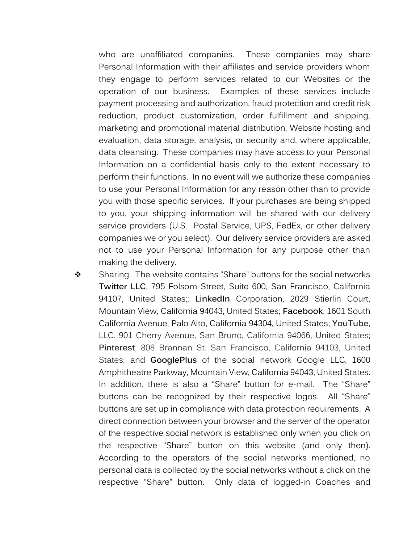who are unaffiliated companies. These companies may share Personal Information with their affiliates and service providers whom they engage to perform services related to our Websites or the operation of our business. Examples of these services include payment processing and authorization, fraud protection and credit risk reduction, product customization, order fulfillment and shipping, marketing and promotional material distribution, Website hosting and evaluation, data storage, analysis, or security and, where applicable, data cleansing. These companies may have access to your Personal Information on a confidential basis only to the extent necessary to perform their functions. In no event will we authorize these companies to use your Personal Information for any reason other than to provide you with those specific services. If your purchases are being shipped to you, your shipping information will be shared with our delivery service providers (U.S. Postal Service, UPS, FedEx, or other delivery companies we or you select). Our delivery service providers are asked not to use your Personal Information for any purpose other than making the delivery.

❖ Sharing. The website contains "Share" buttons for the social networks **Twitter LLC**, 795 Folsom Street, Suite 600, San Francisco, California 94107, United States;; **LinkedIn** Corporation, 2029 Stierlin Court, Mountain View, California 94043, United States; **Facebook**, 1601 South California Avenue, Palo Alto, California 94304, United States; **YouTube**, LLC. 901 Cherry Avenue, San Bruno, California 94066, United States; **Pinterest**, 808 Brannan St. San Francisco, California 94103, United States; and **GooglePlus** of the social network Google LLC, 1600 Amphitheatre Parkway, Mountain View, California 94043, United States. In addition, there is also a "Share" button for e-mail. The "Share" buttons can be recognized by their respective logos. All "Share" buttons are set up in compliance with data protection requirements. A direct connection between your browser and the server of the operator of the respective social network is established only when you click on the respective "Share" button on this website (and only then). According to the operators of the social networks mentioned, no personal data is collected by the social networks without a click on the respective "Share" button. Only data of logged-in Coaches and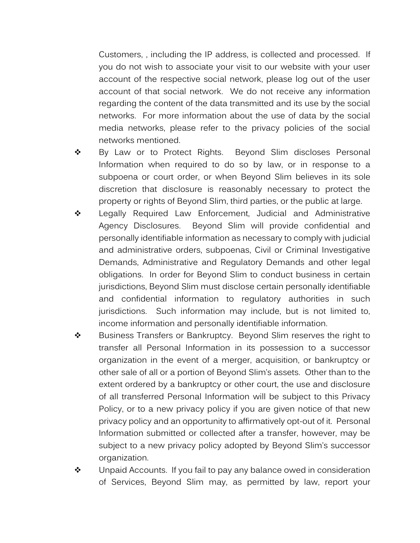Customers, , including the IP address, is collected and processed. If you do not wish to associate your visit to our website with your user account of the respective social network, please log out of the user account of that social network. We do not receive any information regarding the content of the data transmitted and its use by the social networks. For more information about the use of data by the social media networks, please refer to the privacy policies of the social networks mentioned.

- ❖ By Law or to Protect Rights. Beyond Slim discloses Personal Information when required to do so by law, or in response to a subpoena or court order, or when Beyond Slim believes in its sole discretion that disclosure is reasonably necessary to protect the property or rights of Beyond Slim, third parties, or the public at large.
- ❖ Legally Required Law Enforcement, Judicial and Administrative Agency Disclosures. Beyond Slim will provide confidential and personally identifiable information as necessary to comply with judicial and administrative orders, subpoenas, Civil or Criminal Investigative Demands, Administrative and Regulatory Demands and other legal obligations. In order for Beyond Slim to conduct business in certain jurisdictions, Beyond Slim must disclose certain personally identifiable and confidential information to regulatory authorities in such jurisdictions. Such information may include, but is not limited to, income information and personally identifiable information.
- ❖ Business Transfers or Bankruptcy. Beyond Slim reserves the right to transfer all Personal Information in its possession to a successor organization in the event of a merger, acquisition, or bankruptcy or other sale of all or a portion of Beyond Slim's assets. Other than to the extent ordered by a bankruptcy or other court, the use and disclosure of all transferred Personal Information will be subject to this Privacy Policy, or to a new privacy policy if you are given notice of that new privacy policy and an opportunity to affirmatively opt-out of it. Personal Information submitted or collected after a transfer, however, may be subject to a new privacy policy adopted by Beyond Slim's successor organization.
- ❖ Unpaid Accounts. If you fail to pay any balance owed in consideration of Services, Beyond Slim may, as permitted by law, report your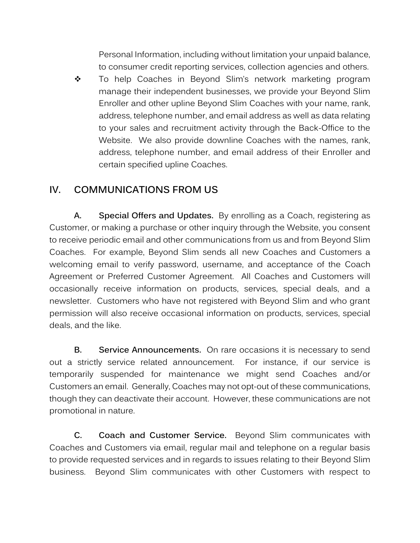Personal Information, including without limitation your unpaid balance, to consumer credit reporting services, collection agencies and others.

❖ To help Coaches in Beyond Slim's network marketing program manage their independent businesses, we provide your Beyond Slim Enroller and other upline Beyond Slim Coaches with your name, rank, address, telephone number, and email address as well as data relating to your sales and recruitment activity through the Back-Office to the Website. We also provide downline Coaches with the names, rank, address, telephone number, and email address of their Enroller and certain specified upline Coaches.

## **IV. COMMUNICATIONS FROM US**

**A. Special Offers and Updates.** By enrolling as a Coach, registering as Customer, or making a purchase or other inquiry through the Website, you consent to receive periodic email and other communications from us and from Beyond Slim Coaches. For example, Beyond Slim sends all new Coaches and Customers a welcoming email to verify password, username, and acceptance of the Coach Agreement or Preferred Customer Agreement. All Coaches and Customers will occasionally receive information on products, services, special deals, and a newsletter. Customers who have not registered with Beyond Slim and who grant permission will also receive occasional information on products, services, special deals, and the like.

**B. Service Announcements.** On rare occasions it is necessary to send out a strictly service related announcement. For instance, if our service is temporarily suspended for maintenance we might send Coaches and/or Customers an email. Generally, Coaches may not opt-out of these communications, though they can deactivate their account. However, these communications are not promotional in nature.

**C. Coach and Customer Service.** Beyond Slim communicates with Coaches and Customers via email, regular mail and telephone on a regular basis to provide requested services and in regards to issues relating to their Beyond Slim business. Beyond Slim communicates with other Customers with respect to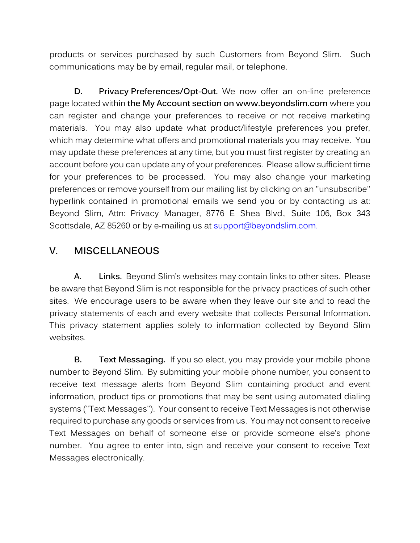products or services purchased by such Customers from Beyond Slim. Such communications may be by email, regular mail, or telephone.

**D. Privacy Preferences/Opt-Out.** We now offer an on-line preference page located within **the My Account section on www.beyondslim.com** where you can register and change your preferences to receive or not receive marketing materials. You may also update what product/lifestyle preferences you prefer, which may determine what offers and promotional materials you may receive. You may update these preferences at any time, but you must first register by creating an account before you can update any of your preferences. Please allow sufficient time for your preferences to be processed. You may also change your marketing preferences or remove yourself from our mailing list by clicking on an "unsubscribe" hyperlink contained in promotional emails we send you or by contacting us at: Beyond Slim, Attn: Privacy Manager, 8776 E Shea Blvd., Suite 106, Box 343 Scottsdale, AZ 85260 or by e-mailing us at [support@beyondslim.com.](mailto:support@beyondslim.com.)

## **V. MISCELLANEOUS**

**A. Links.** Beyond Slim's websites may contain links to other sites. Please be aware that Beyond Slim is not responsible for the privacy practices of such other sites. We encourage users to be aware when they leave our site and to read the privacy statements of each and every website that collects Personal Information. This privacy statement applies solely to information collected by Beyond Slim websites.

**B. Text Messaging.** If you so elect, you may provide your mobile phone number to Beyond Slim. By submitting your mobile phone number, you consent to receive text message alerts from Beyond Slim containing product and event information, product tips or promotions that may be sent using automated dialing systems ("Text Messages"). Your consent to receive Text Messages is not otherwise required to purchase any goods or services from us. You may not consent to receive Text Messages on behalf of someone else or provide someone else's phone number. You agree to enter into, sign and receive your consent to receive Text Messages electronically.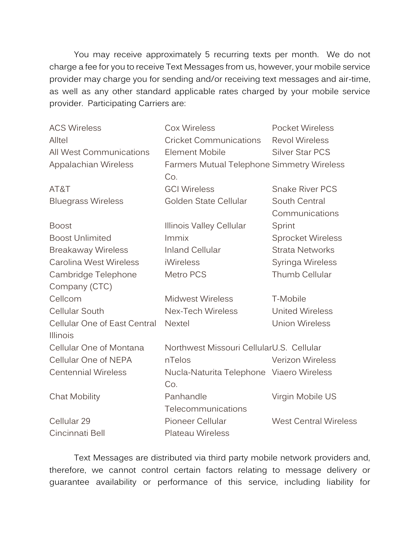You may receive approximately 5 recurring texts per month. We do not charge a fee for you to receive Text Messages from us, however, your mobile service provider may charge you for sending and/or receiving text messages and air-time, as well as any other standard applicable rates charged by your mobile service provider. Participating Carriers are:

| <b>ACS Wireless</b>                      | <b>Cox Wireless</b>                               | <b>Pocket Wireless</b>          |
|------------------------------------------|---------------------------------------------------|---------------------------------|
| Alltel                                   | <b>Cricket Communications</b>                     | <b>Revol Wireless</b>           |
| <b>All West Communications</b>           | <b>Element Mobile</b>                             | <b>Silver Star PCS</b>          |
| Appalachian Wireless                     | Farmers Mutual Telephone Simmetry Wireless<br>Co. |                                 |
| AT&T                                     | <b>GCI Wireless</b>                               | <b>Snake River PCS</b>          |
| <b>Bluegrass Wireless</b>                | Golden State Cellular                             | South Central<br>Communications |
| <b>Boost</b>                             | Illinois Valley Cellular                          | Sprint                          |
| <b>Boost Unlimited</b>                   | Immix                                             | <b>Sprocket Wireless</b>        |
| <b>Breakaway Wireless</b>                | <b>Inland Cellular</b>                            | <b>Strata Networks</b>          |
| Carolina West Wireless                   | <b>iWireless</b>                                  | Syringa Wireless                |
| Cambridge Telephone                      | Metro PCS                                         | Thumb Cellular                  |
| Company (CTC)                            |                                                   |                                 |
| Cellcom                                  | <b>Midwest Wireless</b>                           | T-Mobile                        |
| <b>Cellular South</b>                    | <b>Nex-Tech Wireless</b>                          | <b>United Wireless</b>          |
| Cellular One of East Central<br>Illinois | <b>Nextel</b>                                     | <b>Union Wireless</b>           |
| Cellular One of Montana                  | Northwest Missouri CellularU.S. Cellular          |                                 |
| Cellular One of NEPA                     | nTelos                                            | <b>Verizon Wireless</b>         |
| <b>Centennial Wireless</b>               | Nucla-Naturita Telephone Viaero Wireless<br>Co.   |                                 |
| <b>Chat Mobility</b>                     | Panhandle<br>Telecommunications                   | Virgin Mobile US                |
| Cellular 29                              | Pioneer Cellular                                  | <b>West Central Wireless</b>    |
| Cincinnati Bell                          | <b>Plateau Wireless</b>                           |                                 |
|                                          |                                                   |                                 |

Text Messages are distributed via third party mobile network providers and, therefore, we cannot control certain factors relating to message delivery or guarantee availability or performance of this service, including liability for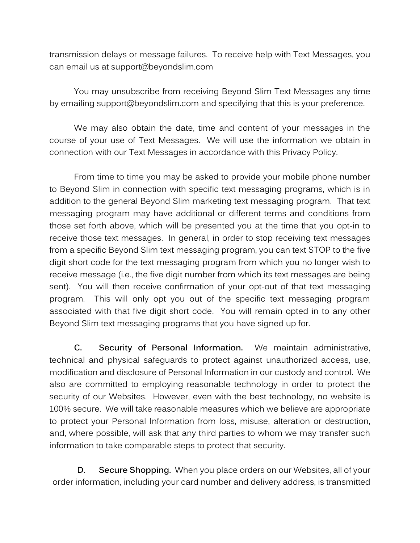transmission delays or message failures. To receive help with Text Messages, you can email us at support@beyondslim.com

You may unsubscribe from receiving Beyond Slim Text Messages any time by emailing support@beyondslim.com and specifying that this is your preference.

We may also obtain the date, time and content of your messages in the course of your use of Text Messages. We will use the information we obtain in connection with our Text Messages in accordance with this Privacy Policy.

From time to time you may be asked to provide your mobile phone number to Beyond Slim in connection with specific text messaging programs, which is in addition to the general Beyond Slim marketing text messaging program. That text messaging program may have additional or different terms and conditions from those set forth above, which will be presented you at the time that you opt-in to receive those text messages. In general, in order to stop receiving text messages from a specific Beyond Slim text messaging program, you can text STOP to the five digit short code for the text messaging program from which you no longer wish to receive message (i.e., the five digit number from which its text messages are being sent). You will then receive confirmation of your opt-out of that text messaging program. This will only opt you out of the specific text messaging program associated with that five digit short code. You will remain opted in to any other Beyond Slim text messaging programs that you have signed up for.

**C. Security of Personal Information.** We maintain administrative, technical and physical safeguards to protect against unauthorized access, use, modification and disclosure of Personal Information in our custody and control. We also are committed to employing reasonable technology in order to protect the security of our Websites. However, even with the best technology, no website is 100% secure. We will take reasonable measures which we believe are appropriate to protect your Personal Information from loss, misuse, alteration or destruction, and, where possible, will ask that any third parties to whom we may transfer such information to take comparable steps to protect that security.

**D. Secure Shopping.** When you place orders on our Websites, all of your order information, including your card number and delivery address, is transmitted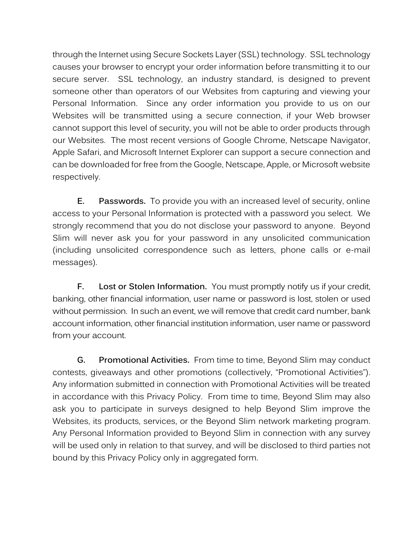through the Internet using Secure Sockets Layer (SSL) technology. SSL technology causes your browser to encrypt your order information before transmitting it to our secure server. SSL technology, an industry standard, is designed to prevent someone other than operators of our Websites from capturing and viewing your Personal Information. Since any order information you provide to us on our Websites will be transmitted using a secure connection, if your Web browser cannot support this level of security, you will not be able to order products through our Websites. The most recent versions of Google Chrome, Netscape Navigator, Apple Safari, and Microsoft Internet Explorer can support a secure connection and can be downloaded for free from the Google, Netscape, Apple, or Microsoft website respectively.

**E. Passwords.** To provide you with an increased level of security, online access to your Personal Information is protected with a password you select. We strongly recommend that you do not disclose your password to anyone. Beyond Slim will never ask you for your password in any unsolicited communication (including unsolicited correspondence such as letters, phone calls or e-mail messages).

**F. Lost or Stolen Information.** You must promptly notify us if your credit, banking, other financial information, user name or password is lost, stolen or used without permission. In such an event, we will remove that credit card number, bank account information, other financial institution information, user name or password from your account.

**G. Promotional Activities.** From time to time, Beyond Slim may conduct contests, giveaways and other promotions (collectively, "Promotional Activities"). Any information submitted in connection with Promotional Activities will be treated in accordance with this Privacy Policy. From time to time, Beyond Slim may also ask you to participate in surveys designed to help Beyond Slim improve the Websites, its products, services, or the Beyond Slim network marketing program. Any Personal Information provided to Beyond Slim in connection with any survey will be used only in relation to that survey, and will be disclosed to third parties not bound by this Privacy Policy only in aggregated form.